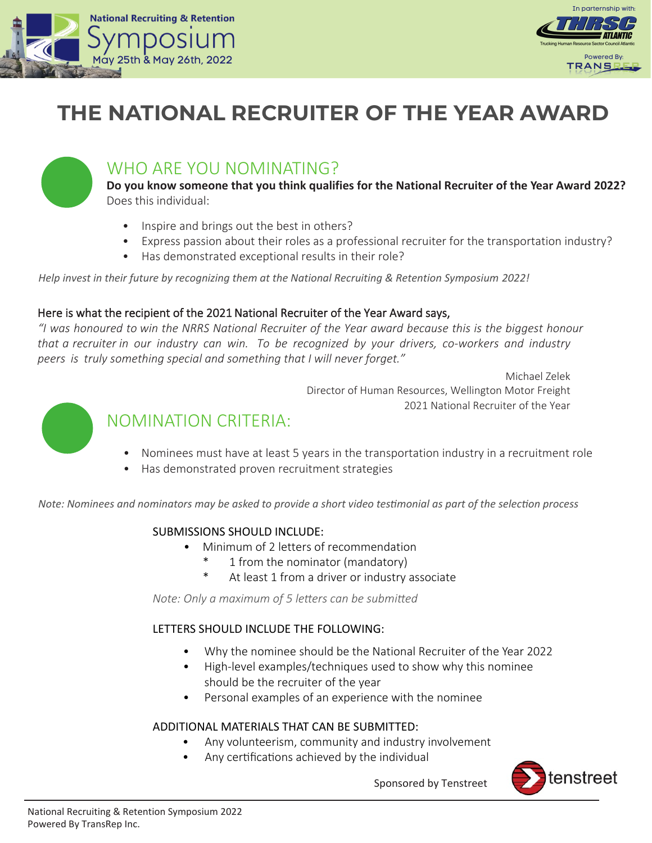



# **THE NATIONAL RECRUITER OF THE YEAR AWARD**



# WHO ARE YOU NOMINATING?

**Do you know someone that you think qualifies for the National Recruiter of the Year Award 2022?** Does this individual:

- Inspire and brings out the best in others?
- Express passion about their roles as a professional recruiter for the transportation industry?
- Has demonstrated exceptional results in their role?

*Help invest in their future by recognizing them at the National Recruiting & Retention Symposium 2022!* 

#### Here is what the recipient of the 2021 National Recruiter of the Year Award says,

*"I was honoured to win the NRRS National Recruiter of the Year award because this is the biggest honour that a recruiter in our industry can win. To be recognized by your drivers, co-workers and industry peers is truly something special and something that I will never forget."* 

> Michael Zelek Director of Human Resources, Wellington Motor Freight 2021 National Recruiter of the Year



## NOMINATION CRITERIA:

- Nominees must have at least 5 years in the transportation industry in a recruitment role
- Has demonstrated proven recruitment strategies

*Note: Nominees and nominators may be asked to provide a short video testimonial as part of the selection process* 

## SUBMISSIONS SHOULD INCLUDE:

- Minimum of 2 letters of recommendation
	- 1 from the nominator (mandatory)
	- \* At least 1 from a driver or industry associate

*Note: Only a maximum of 5 letters can be submitted* 

## LETTERS SHOULD INCLUDE THE FOLLOWING:

- Why the nominee should be the National Recruiter of the Year 2022
- High-level examples/techniques used to show why this nominee should be the recruiter of the year
- Personal examples of an experience with the nominee

## ADDITIONAL MATERIALS THAT CAN BE SUBMITTED:

- Any volunteerism, community and industry involvement
- Any certifications achieved by the individual